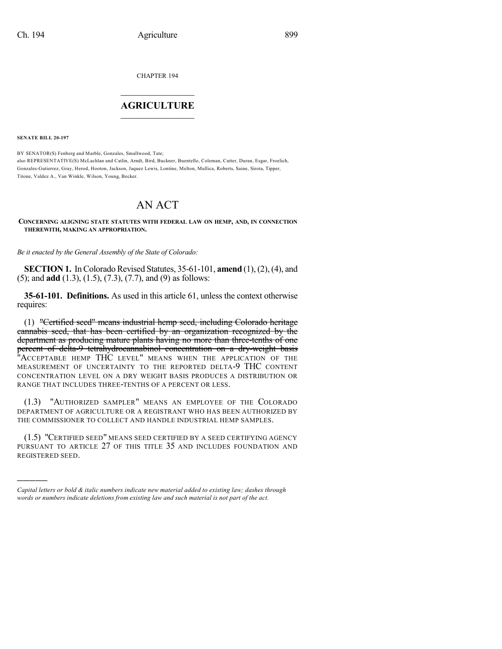CHAPTER 194

# $\overline{\phantom{a}}$  . The set of the set of the set of the set of the set of the set of the set of the set of the set of the set of the set of the set of the set of the set of the set of the set of the set of the set of the set o **AGRICULTURE**  $\_$   $\_$   $\_$   $\_$   $\_$   $\_$   $\_$   $\_$

**SENATE BILL 20-197**

)))))

BY SENATOR(S) Fenberg and Marble, Gonzales, Smallwood, Tate; also REPRESENTATIVE(S) McLachlan and Catlin, Arndt, Bird, Buckner, Buentello, Coleman, Cutter, Duran, Esgar, Froelich, Gonzales-Gutierrez, Gray, Herod, Hooton, Jackson, Jaquez Lewis, Lontine, Melton, Mullica, Roberts, Saine, Sirota, Tipper, Titone, Valdez A., Van Winkle, Wilson, Young, Becker.

# AN ACT

#### **CONCERNING ALIGNING STATE STATUTES WITH FEDERAL LAW ON HEMP, AND, IN CONNECTION THEREWITH, MAKING AN APPROPRIATION.**

*Be it enacted by the General Assembly of the State of Colorado:*

**SECTION 1.** In Colorado Revised Statutes, 35-61-101, **amend** (1), (2), (4), and (5); and **add** (1.3), (1.5), (7.3), (7.7), and (9) as follows:

**35-61-101. Definitions.** As used in this article 61, unless the context otherwise requires:

(1) "Certified seed" means industrial hemp seed, including Colorado heritage cannabis seed, that has been certified by an organization recognized by the department as producing mature plants having no more than three-tenths of one percent of delta-9 tetrahydrocannabinol concentration on a dry-weight basis "ACCEPTABLE HEMP THC LEVEL" MEANS WHEN THE APPLICATION OF THE MEASUREMENT OF UNCERTAINTY TO THE REPORTED DELTA-9 THC CONTENT CONCENTRATION LEVEL ON A DRY WEIGHT BASIS PRODUCES A DISTRIBUTION OR RANGE THAT INCLUDES THREE-TENTHS OF A PERCENT OR LESS.

(1.3) "AUTHORIZED SAMPLER" MEANS AN EMPLOYEE OF THE COLORADO DEPARTMENT OF AGRICULTURE OR A REGISTRANT WHO HAS BEEN AUTHORIZED BY THE COMMISSIONER TO COLLECT AND HANDLE INDUSTRIAL HEMP SAMPLES.

(1.5) "CERTIFIED SEED" MEANS SEED CERTIFIED BY A SEED CERTIFYING AGENCY PURSUANT TO ARTICLE 27 OF THIS TITLE 35 AND INCLUDES FOUNDATION AND REGISTERED SEED.

*Capital letters or bold & italic numbers indicate new material added to existing law; dashes through words or numbers indicate deletions from existing law and such material is not part of the act.*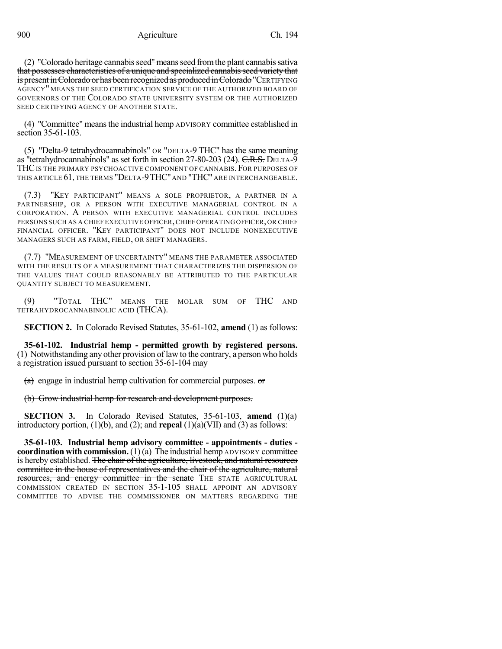$(2)$  "Colorado heritage cannabis seed" means seed from the plant cannabis sativa that possesses characteristics of a unique and specialized cannabis seed variety that is present in Colorado or has been recognized as produced in Colorado "CERTIFYING AGENCY" MEANS THE SEED CERTIFICATION SERVICE OF THE AUTHORIZED BOARD OF GOVERNORS OF THE COLORADO STATE UNIVERSITY SYSTEM OR THE AUTHORIZED SEED CERTIFYING AGENCY OF ANOTHER STATE.

(4) "Committee" meansthe industrial hemp ADVISORY committee established in section 35-61-103.

(5) "Delta-9 tetrahydrocannabinols" OR "DELTA-9 THC" has the same meaning as "tetrahydrocannabinols" as set forth in section 27-80-203 (24). C.R.S. DELTA-9 THC IS THE PRIMARY PSYCHOACTIVE COMPONENT OF CANNABIS. FOR PURPOSES OF THIS ARTICLE 61, THE TERMS "DELTA-9THC" AND "THC" ARE INTERCHANGEABLE.

(7.3) "KEY PARTICIPANT" MEANS A SOLE PROPRIETOR, A PARTNER IN A PARTNERSHIP, OR A PERSON WITH EXECUTIVE MANAGERIAL CONTROL IN A CORPORATION. A PERSON WITH EXECUTIVE MANAGERIAL CONTROL INCLUDES PERSONS SUCH AS A CHIEF EXECUTIVE OFFICER,CHIEF OPERATING OFFICER, OR CHIEF FINANCIAL OFFICER. "KEY PARTICIPANT" DOES NOT INCLUDE NONEXECUTIVE MANAGERS SUCH AS FARM, FIELD, OR SHIFT MANAGERS.

(7.7) "MEASUREMENT OF UNCERTAINTY" MEANS THE PARAMETER ASSOCIATED WITH THE RESULTS OF A MEASUREMENT THAT CHARACTERIZES THE DISPERSION OF THE VALUES THAT COULD REASONABLY BE ATTRIBUTED TO THE PARTICULAR QUANTITY SUBJECT TO MEASUREMENT.

(9) "TOTAL THC" MEANS THE MOLAR SUM OF THC AND TETRAHYDROCANNABINOLIC ACID (THCA).

**SECTION 2.** In Colorado Revised Statutes, 35-61-102, **amend** (1) as follows:

**35-61-102. Industrial hemp - permitted growth by registered persons.** (1) Notwithstanding any other provision of law to the contrary, a person who holds a registration issued pursuant to section 35-61-104 may

 $(a)$  engage in industrial hemp cultivation for commercial purposes.  $or$ 

(b) Grow industrial hemp for research and development purposes.

**SECTION 3.** In Colorado Revised Statutes, 35-61-103, **amend** (1)(a) introductory portion, (1)(b), and (2); and **repeal** (1)(a)(VII) and (3) as follows:

**35-61-103. Industrial hemp advisory committee - appointments - duties coordination with commission.** (1)(a) The industrial hemp ADVISORY committee is hereby established. The chair of the agriculture, livestock, and natural resources committee in the house of representatives and the chair of the agriculture, natural resources, and energy committee in the senate THE STATE AGRICULTURAL COMMISSION CREATED IN SECTION 35-1-105 SHALL APPOINT AN ADVISORY COMMITTEE TO ADVISE THE COMMISSIONER ON MATTERS REGARDING THE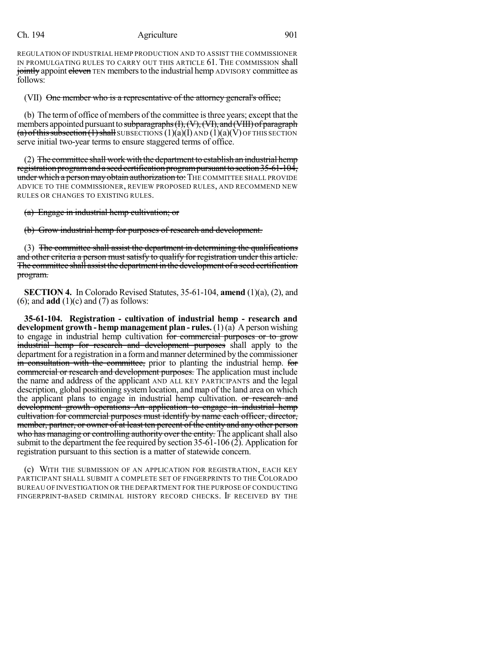REGULATION OF INDUSTRIAL HEMP PRODUCTION AND TO ASSIST THE COMMISSIONER IN PROMULGATING RULES TO CARRY OUT THIS ARTICLE 61. THE COMMISSION shall jointly appoint eleven TEN members to the industrial hemp ADVISORY committee as follows:

(VII) One member who is a representative of the attorney general's office;

(b) The termof office ofmembers of the committee isthree years; except that the members appointed pursuant to subparagraphs  $(H, (V), (VI),$  and  $(VIII)$  of paragraph  $(a)$  of this subsection (1) shall SUBSECTIONS  $(1)(a)(I)$  AND  $(1)(a)(V)$  OF THIS SECTION serve initial two-year terms to ensure staggered terms of office.

(2) The committee shall work with the department to establish an industrial hemp registration program and a seed certification program pursuant to section 35-61-104, under which a person may obtain authorization to: THE COMMITTEE SHALL PROVIDE ADVICE TO THE COMMISSIONER, REVIEW PROPOSED RULES, AND RECOMMEND NEW RULES OR CHANGES TO EXISTING RULES.

(a) Engage in industrial hemp cultivation; or

(b) Grow industrial hemp for purposes of research and development.

(3) The committee shall assist the department in determining the qualifications and other criteria a person must satisfy to qualify for registration under this article. The committee shall assist the department in the development of a seed certification program.

**SECTION 4.** In Colorado Revised Statutes, 35-61-104, **amend** (1)(a), (2), and (6); and **add** (1)(c) and (7) as follows:

**35-61-104. Registration - cultivation of industrial hemp - research and development growth - hemp management plan - rules.** (1) (a) A person wishing to engage in industrial hemp cultivation for commercial purposes or to grow industrial hemp for research and development purposes shall apply to the department for a registration in a form and manner determined by the commissioner in consultation with the committee, prior to planting the industrial hemp. for commercial or research and development purposes. The application must include the name and address of the applicant AND ALL KEY PARTICIPANTS and the legal description, global positioning system location, and map of the land area on which the applicant plans to engage in industrial hemp cultivation. or research and development growth operations An application to engage in industrial hemp cultivation for commercial purposes must identify by name each officer, director, member, partner, or owner of at least ten percent of the entity and any other person who has managing or controlling authority over the entity. The applicant shall also submit to the department the fee required by section 35-61-106 (2). Application for registration pursuant to this section is a matter of statewide concern.

(c) WITH THE SUBMISSION OF AN APPLICATION FOR REGISTRATION, EACH KEY PARTICIPANT SHALL SUBMIT A COMPLETE SET OF FINGERPRINTS TO THE COLORADO BUREAU OF INVESTIGATION OR THE DEPARTMENT FOR THE PURPOSE OF CONDUCTING FINGERPRINT-BASED CRIMINAL HISTORY RECORD CHECKS. IF RECEIVED BY THE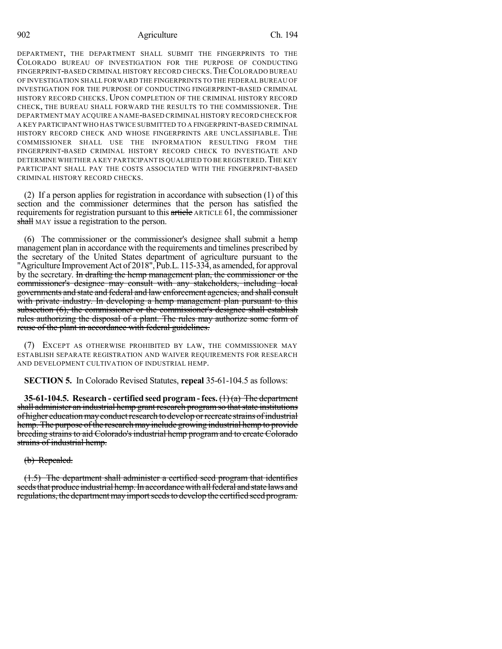902 Agriculture Ch. 194

DEPARTMENT, THE DEPARTMENT SHALL SUBMIT THE FINGERPRINTS TO THE COLORADO BUREAU OF INVESTIGATION FOR THE PURPOSE OF CONDUCTING FINGERPRINT-BASED CRIMINAL HISTORY RECORD CHECKS.THECOLORADO BUREAU OF INVESTIGATION SHALL FORWARD THE FINGERPRINTS TO THE FEDERAL BUREAU OF INVESTIGATION FOR THE PURPOSE OF CONDUCTING FINGERPRINT-BASED CRIMINAL HISTORY RECORD CHECKS. UPON COMPLETION OF THE CRIMINAL HISTORY RECORD CHECK, THE BUREAU SHALL FORWARD THE RESULTS TO THE COMMISSIONER. THE DEPARTMENT MAY ACQUIRE A NAME-BASED CRIMINAL HISTORY RECORD CHECKFOR A KEY PARTICIPANT WHO HAS TWICE SUBMITTED TO A FINGERPRINT-BASED CRIMINAL HISTORY RECORD CHECK AND WHOSE FINGERPRINTS ARE UNCLASSIFIABLE. THE COMMISSIONER SHALL USE THE INFORMATION RESULTING FROM THE FINGERPRINT-BASED CRIMINAL HISTORY RECORD CHECK TO INVESTIGATE AND DETERMINE WHETHER A KEY PARTICIPANT IS QUALIFIED TO BE REGISTERED. THE KEY PARTICIPANT SHALL PAY THE COSTS ASSOCIATED WITH THE FINGERPRINT-BASED CRIMINAL HISTORY RECORD CHECKS.

(2) If a person applies for registration in accordance with subsection (1) of this section and the commissioner determines that the person has satisfied the requirements for registration pursuant to this article ARTICLE 61, the commissioner shall MAY issue a registration to the person.

(6) The commissioner or the commissioner's designee shall submit a hemp management plan in accordance with the requirements and timelines prescribed by the secretary of the United States department of agriculture pursuant to the "Agriculture Improvement Act of 2018", Pub.L. 115-334, as amended, for approval by the secretary. In drafting the hemp management plan, the commissioner or the commissioner's designee may consult with any stakeholders, including local governments and state and federal and law enforcement agencies, and shall consult with private industry. In developing a hemp management plan pursuant to this subsection (6), the commissioner or the commissioner's designee shall establish rules authorizing the disposal of a plant. The rules may authorize some form of reuse of the plant in accordance with federal guidelines.

(7) EXCEPT AS OTHERWISE PROHIBITED BY LAW, THE COMMISSIONER MAY ESTABLISH SEPARATE REGISTRATION AND WAIVER REQUIREMENTS FOR RESEARCH AND DEVELOPMENT CULTIVATION OF INDUSTRIAL HEMP.

**SECTION 5.** In Colorado Revised Statutes, **repeal** 35-61-104.5 as follows:

**35-61-104.5. Research - certified seed program - fees.** (1) (a) The department shall administer an industrial hemp grant research program so that state institutions of higher education may conduct research to develop or recreate strains of industrial hemp. The purpose of the research may include growing industrial hemp to provide breeding strains to aid Colorado's industrial hemp program and to create Colorado strains of industrial hemp.

(b) Repealed.

(1.5) The department shall administer a certified seed program that identifies seeds that produce industrial hemp. In accordance with all federal and state laws and regulations, the department may import seeds to develop the certified seed program.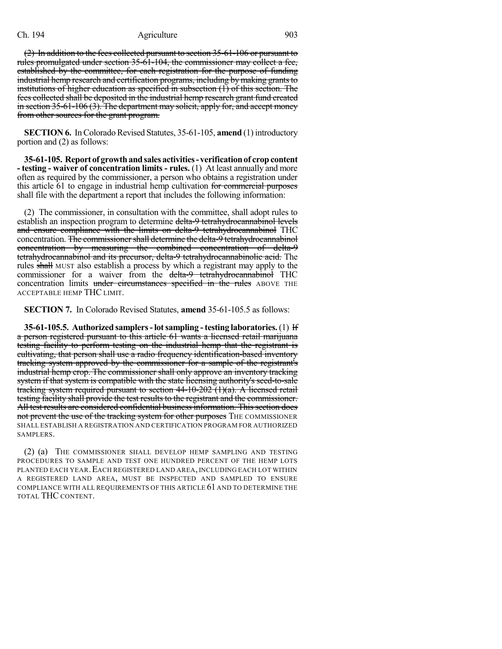(2) In addition to the fees collected pursuant to section 35-61-106 or pursuant to rules promulgated under section 35-61-104, the commissioner may collect a fee, established by the committee, for each registration for the purpose of funding industrial hemp research and certification programs, including by making grants to institutions of higher education as specified in subsection (1) of this section. The fees collected shall be deposited in the industrial hemp research grant fund created in section  $35-61-106(3)$ . The department may solicit, apply for, and accept money from other sources for the grant program.

**SECTION 6.** In Colorado Revised Statutes, 35-61-105, **amend** (1) introductory portion and (2) as follows:

**35-61-105. Report of growthandsalesactivities- verificationof cropcontent - testing - waiver of concentration limits - rules.** (1) At least annually and more often as required by the commissioner, a person who obtains a registration under this article 61 to engage in industrial hemp cultivation for commercial purposes shall file with the department a report that includes the following information:

(2) The commissioner, in consultation with the committee, shall adopt rules to establish an inspection program to determine delta-9 tetrahydrocannabinol levels and ensure compliance with the limits on delta-9 tetrahydrocannabinol THC concentration. The commissioner shall determine the delta-9 tetrahydrocannabinol concentration by measuring the combined concentration of delta-9 tetrahydrocannabinol and its precursor, delta-9 tetrahydrocannabinolic acid. The rules shall MUST also establish a process by which a registrant may apply to the commissioner for a waiver from the delta-9 tetrahydrocannabinol THC concentration limits under circumstances specified in the rules ABOVE THE ACCEPTABLE HEMP THC LIMIT.

**SECTION 7.** In Colorado Revised Statutes, **amend** 35-61-105.5 as follows:

**35-61-105.5. Authorized samplers-lotsampling -testing laboratories.**(1) If a person registered pursuant to this article 61 wants a licensed retail marijuana testing facility to perform testing on the industrial hemp that the registrant is cultivating, that person shall use a radio frequency identification-based inventory tracking system approved by the commissioner for a sample of the registrant's industrial hemp crop. The commissioner shall only approve an inventory tracking system if that system is compatible with the state licensing authority's seed-to-sale tracking system required pursuant to section 44-10-202 (1)(a). A licensed retail testing facility shall provide the test results to the registrant and the commissioner. All test results are considered confidential business information. This section does not prevent the use of the tracking system for other purposes THE COMMISSIONER SHALL ESTABLISH A REGISTRATION AND CERTIFICATION PROGRAM FOR AUTHORIZED SAMPLERS.

(2) (a) THE COMMISSIONER SHALL DEVELOP HEMP SAMPLING AND TESTING PROCEDURES TO SAMPLE AND TEST ONE HUNDRED PERCENT OF THE HEMP LOTS PLANTED EACH YEAR. EACH REGISTERED LAND AREA, INCLUDING EACH LOT WITHIN A REGISTERED LAND AREA, MUST BE INSPECTED AND SAMPLED TO ENSURE COMPLIANCE WITH ALL REQUIREMENTS OF THIS ARTICLE 61 AND TO DETERMINE THE TOTAL THC CONTENT.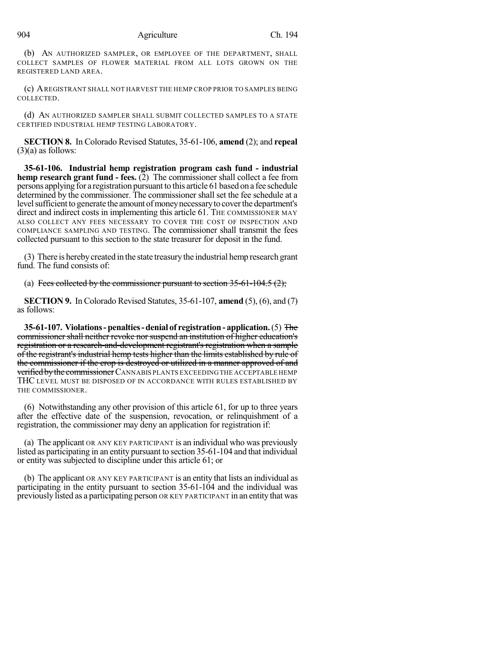(b) AN AUTHORIZED SAMPLER, OR EMPLOYEE OF THE DEPARTMENT, SHALL COLLECT SAMPLES OF FLOWER MATERIAL FROM ALL LOTS GROWN ON THE REGISTERED LAND AREA.

(c) AREGISTRANT SHALL NOT HARVEST THE HEMP CROP PRIOR TO SAMPLES BEING COLLECTED.

(d) AN AUTHORIZED SAMPLER SHALL SUBMIT COLLECTED SAMPLES TO A STATE CERTIFIED INDUSTRIAL HEMP TESTING LABORATORY.

**SECTION 8.** In Colorado Revised Statutes, 35-61-106, **amend** (2); and **repeal**  $(3)(a)$  as follows:

**35-61-106. Industrial hemp registration program cash fund - industrial hemp research grant fund - fees.** (2) The commissioner shall collect a fee from persons applying for a registration pursuant to this article 61 based on a fee schedule determined by the commissioner. The commissioner shall set the fee schedule at a level sufficient to generate the amount of money necessary to cover the department's direct and indirect costs in implementing this article 61. THE COMMISSIONER MAY ALSO COLLECT ANY FEES NECESSARY TO COVER THE COST OF INSPECTION AND COMPLIANCE SAMPLING AND TESTING. The commissioner shall transmit the fees collected pursuant to this section to the state treasurer for deposit in the fund.

(3) There is hereby created in the state treasury the industrial hemp research grant fund. The fund consists of:

(a) Fees collected by the commissioner pursuant to section  $35-61-104.5$  (2);

**SECTION 9.** In Colorado Revised Statutes, 35-61-107, **amend** (5), (6), and (7) as follows:

**35-61-107. Violations-penalties-denial of registration- application.**(5) The commissioner shall neither revoke nor suspend an institution of higher education's registration or a research-and-development registrant's registration when a sample of the registrant's industrial hemp tests higher than the limits established by rule of the commissioner if the crop is destroyed or utilized in a manner approved of and **verified by the commissioner** CANNABIS PLANTS EXCEEDING THE ACCEPTABLE HEMP THC LEVEL MUST BE DISPOSED OF IN ACCORDANCE WITH RULES ESTABLISHED BY THE COMMISSIONER.

(6) Notwithstanding any other provision of this article 61, for up to three years after the effective date of the suspension, revocation, or relinquishment of a registration, the commissioner may deny an application for registration if:

(a) The applicant OR ANY KEY PARTICIPANT is an individual who was previously listed as participating in an entity pursuant to section 35-61-104 and that individual or entity was subjected to discipline under this article 61; or

(b) The applicant OR ANY KEY PARTICIPANT is an entity that lists an individual as participating in the entity pursuant to section 35-61-104 and the individual was previously listed as a participating person OR KEY PARTICIPANT in an entity that was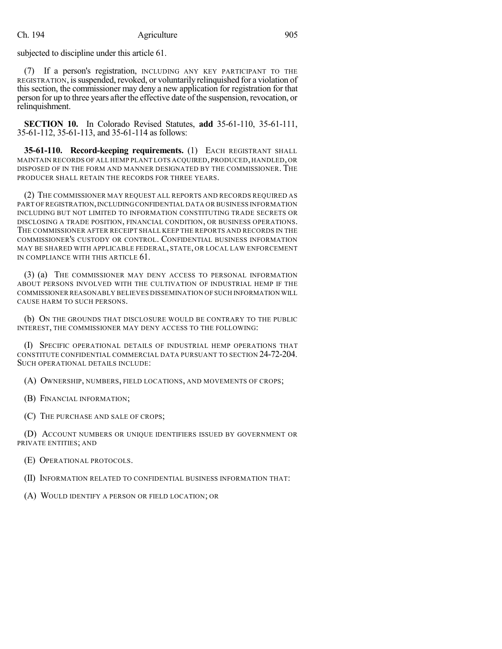subjected to discipline under this article 61.

(7) If a person's registration, INCLUDING ANY KEY PARTICIPANT TO THE REGISTRATION, issuspended, revoked, or voluntarily relinquished for a violation of this section, the commissioner may deny a new application for registration for that person for up to three years after the effective date of the suspension, revocation, or relinquishment.

**SECTION 10.** In Colorado Revised Statutes, **add** 35-61-110, 35-61-111, 35-61-112, 35-61-113, and 35-61-114 as follows:

**35-61-110. Record-keeping requirements.** (1) EACH REGISTRANT SHALL MAINTAIN RECORDS OF ALL HEMP PLANT LOTS ACQUIRED, PRODUCED, HANDLED, OR DISPOSED OF IN THE FORM AND MANNER DESIGNATED BY THE COMMISSIONER. THE PRODUCER SHALL RETAIN THE RECORDS FOR THREE YEARS.

(2) THE COMMISSIONER MAY REQUEST ALL REPORTS AND RECORDS REQUIRED AS PART OF REGISTRATION,INCLUDINGCONFIDENTIAL DATA OR BUSINESS INFORMATION INCLUDING BUT NOT LIMITED TO INFORMATION CONSTITUTING TRADE SECRETS OR DISCLOSING A TRADE POSITION, FINANCIAL CONDITION, OR BUSINESS OPERATIONS. THE COMMISSIONER AFTER RECEIPT SHALL KEEP THE REPORTS AND RECORDS IN THE COMMISSIONER'S CUSTODY OR CONTROL. CONFIDENTIAL BUSINESS INFORMATION MAY BE SHARED WITH APPLICABLE FEDERAL, STATE, OR LOCAL LAW ENFORCEMENT IN COMPLIANCE WITH THIS ARTICLE 61.

(3) (a) THE COMMISSIONER MAY DENY ACCESS TO PERSONAL INFORMATION ABOUT PERSONS INVOLVED WITH THE CULTIVATION OF INDUSTRIAL HEMP IF THE COMMISSIONER REASONABLY BELIEVES DISSEMINATION OF SUCH INFORMATION WILL CAUSE HARM TO SUCH PERSONS.

(b) ON THE GROUNDS THAT DISCLOSURE WOULD BE CONTRARY TO THE PUBLIC INTEREST, THE COMMISSIONER MAY DENY ACCESS TO THE FOLLOWING:

(I) SPECIFIC OPERATIONAL DETAILS OF INDUSTRIAL HEMP OPERATIONS THAT CONSTITUTE CONFIDENTIAL COMMERCIAL DATA PURSUANT TO SECTION 24-72-204. SUCH OPERATIONAL DETAILS INCLUDE:

(A) OWNERSHIP, NUMBERS, FIELD LOCATIONS, AND MOVEMENTS OF CROPS;

(B) FINANCIAL INFORMATION;

(C) THE PURCHASE AND SALE OF CROPS;

(D) ACCOUNT NUMBERS OR UNIQUE IDENTIFIERS ISSUED BY GOVERNMENT OR PRIVATE ENTITIES; AND

(E) OPERATIONAL PROTOCOLS.

(II) INFORMATION RELATED TO CONFIDENTIAL BUSINESS INFORMATION THAT:

(A) WOULD IDENTIFY A PERSON OR FIELD LOCATION; OR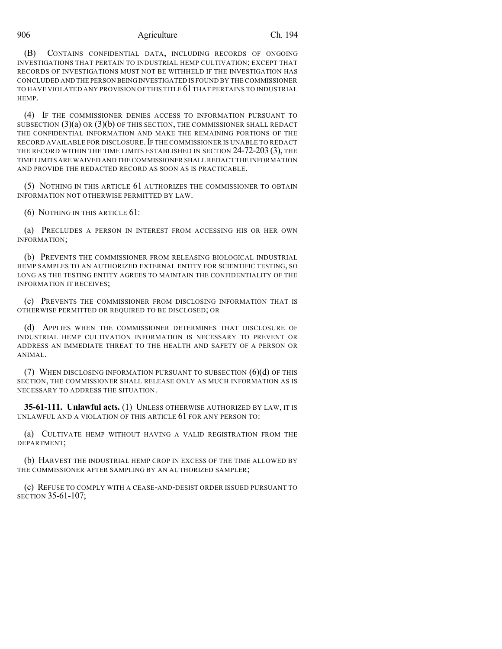### 906 Agriculture Ch. 194

(B) CONTAINS CONFIDENTIAL DATA, INCLUDING RECORDS OF ONGOING INVESTIGATIONS THAT PERTAIN TO INDUSTRIAL HEMP CULTIVATION; EXCEPT THAT RECORDS OF INVESTIGATIONS MUST NOT BE WITHHELD IF THE INVESTIGATION HAS CONCLUDED AND THE PERSON BEINGINVESTIGATED IS FOUND BY THE COMMISSIONER TO HAVE VIOLATED ANY PROVISION OF THIS TITLE 61THAT PERTAINS TO INDUSTRIAL HEMP.

(4) IF THE COMMISSIONER DENIES ACCESS TO INFORMATION PURSUANT TO SUBSECTION  $(3)(a)$  OR  $(3)(b)$  OF THIS SECTION, THE COMMISSIONER SHALL REDACT THE CONFIDENTIAL INFORMATION AND MAKE THE REMAINING PORTIONS OF THE RECORD AVAILABLE FOR DISCLOSURE.IF THE COMMISSIONER IS UNABLE TO REDACT THE RECORD WITHIN THE TIME LIMITS ESTABLISHED IN SECTION 24-72-203 (3), THE TIME LIMITS ARE WAIVED AND THE COMMISSIONER SHALL REDACT THE INFORMATION AND PROVIDE THE REDACTED RECORD AS SOON AS IS PRACTICABLE.

(5) NOTHING IN THIS ARTICLE 61 AUTHORIZES THE COMMISSIONER TO OBTAIN INFORMATION NOT OTHERWISE PERMITTED BY LAW.

(6) NOTHING IN THIS ARTICLE 61:

(a) PRECLUDES A PERSON IN INTEREST FROM ACCESSING HIS OR HER OWN INFORMATION;

(b) PREVENTS THE COMMISSIONER FROM RELEASING BIOLOGICAL INDUSTRIAL HEMP SAMPLES TO AN AUTHORIZED EXTERNAL ENTITY FOR SCIENTIFIC TESTING, SO LONG AS THE TESTING ENTITY AGREES TO MAINTAIN THE CONFIDENTIALITY OF THE INFORMATION IT RECEIVES;

(c) PREVENTS THE COMMISSIONER FROM DISCLOSING INFORMATION THAT IS OTHERWISE PERMITTED OR REQUIRED TO BE DISCLOSED; OR

(d) APPLIES WHEN THE COMMISSIONER DETERMINES THAT DISCLOSURE OF INDUSTRIAL HEMP CULTIVATION INFORMATION IS NECESSARY TO PREVENT OR ADDRESS AN IMMEDIATE THREAT TO THE HEALTH AND SAFETY OF A PERSON OR ANIMAL.

(7) WHEN DISCLOSING INFORMATION PURSUANT TO SUBSECTION  $(6)(d)$  of this SECTION, THE COMMISSIONER SHALL RELEASE ONLY AS MUCH INFORMATION AS IS NECESSARY TO ADDRESS THE SITUATION.

**35-61-111. Unlawful acts.** (1) UNLESS OTHERWISE AUTHORIZED BY LAW, IT IS UNLAWFUL AND A VIOLATION OF THIS ARTICLE 61 FOR ANY PERSON TO:

(a) CULTIVATE HEMP WITHOUT HAVING A VALID REGISTRATION FROM THE DEPARTMENT;

(b) HARVEST THE INDUSTRIAL HEMP CROP IN EXCESS OF THE TIME ALLOWED BY THE COMMISSIONER AFTER SAMPLING BY AN AUTHORIZED SAMPLER;

(c) REFUSE TO COMPLY WITH A CEASE-AND-DESIST ORDER ISSUED PURSUANT TO SECTION 35-61-107;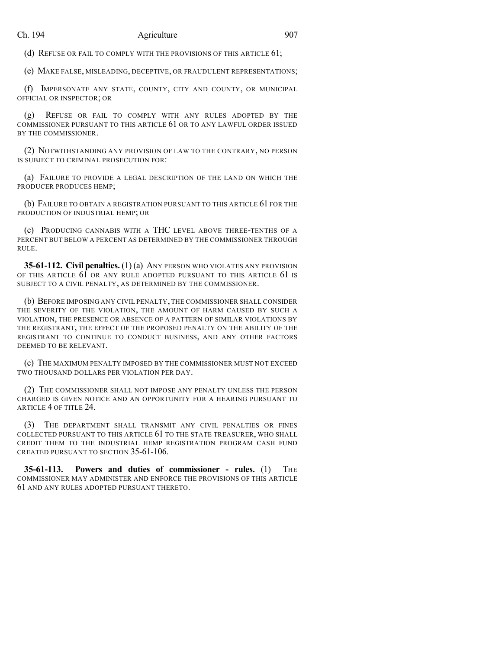(d) REFUSE OR FAIL TO COMPLY WITH THE PROVISIONS OF THIS ARTICLE 61;

(e) MAKE FALSE, MISLEADING, DECEPTIVE, OR FRAUDULENT REPRESENTATIONS;

(f) IMPERSONATE ANY STATE, COUNTY, CITY AND COUNTY, OR MUNICIPAL OFFICIAL OR INSPECTOR; OR

(g) REFUSE OR FAIL TO COMPLY WITH ANY RULES ADOPTED BY THE COMMISSIONER PURSUANT TO THIS ARTICLE 61 OR TO ANY LAWFUL ORDER ISSUED BY THE COMMISSIONER.

(2) NOTWITHSTANDING ANY PROVISION OF LAW TO THE CONTRARY, NO PERSON IS SUBJECT TO CRIMINAL PROSECUTION FOR:

(a) FAILURE TO PROVIDE A LEGAL DESCRIPTION OF THE LAND ON WHICH THE PRODUCER PRODUCES HEMP;

(b) FAILURE TO OBTAIN A REGISTRATION PURSUANT TO THIS ARTICLE 61 FOR THE PRODUCTION OF INDUSTRIAL HEMP; OR

(c) PRODUCING CANNABIS WITH A THC LEVEL ABOVE THREE-TENTHS OF A PERCENT BUT BELOW A PERCENT AS DETERMINED BY THE COMMISSIONER THROUGH RULE.

**35-61-112. Civil penalties.** (1) (a) ANY PERSON WHO VIOLATES ANY PROVISION OF THIS ARTICLE 61 OR ANY RULE ADOPTED PURSUANT TO THIS ARTICLE 61 IS SUBJECT TO A CIVIL PENALTY, AS DETERMINED BY THE COMMISSIONER.

(b) BEFORE IMPOSING ANY CIVIL PENALTY, THE COMMISSIONER SHALL CONSIDER THE SEVERITY OF THE VIOLATION, THE AMOUNT OF HARM CAUSED BY SUCH A VIOLATION, THE PRESENCE OR ABSENCE OF A PATTERN OF SIMILAR VIOLATIONS BY THE REGISTRANT, THE EFFECT OF THE PROPOSED PENALTY ON THE ABILITY OF THE REGISTRANT TO CONTINUE TO CONDUCT BUSINESS, AND ANY OTHER FACTORS DEEMED TO BE RELEVANT.

(c) THE MAXIMUM PENALTY IMPOSED BY THE COMMISSIONER MUST NOT EXCEED TWO THOUSAND DOLLARS PER VIOLATION PER DAY.

(2) THE COMMISSIONER SHALL NOT IMPOSE ANY PENALTY UNLESS THE PERSON CHARGED IS GIVEN NOTICE AND AN OPPORTUNITY FOR A HEARING PURSUANT TO ARTICLE 4 OF TITLE 24.

(3) THE DEPARTMENT SHALL TRANSMIT ANY CIVIL PENALTIES OR FINES COLLECTED PURSUANT TO THIS ARTICLE 61 TO THE STATE TREASURER, WHO SHALL CREDIT THEM TO THE INDUSTRIAL HEMP REGISTRATION PROGRAM CASH FUND CREATED PURSUANT TO SECTION 35-61-106.

**35-61-113. Powers and duties of commissioner - rules.** (1) THE COMMISSIONER MAY ADMINISTER AND ENFORCE THE PROVISIONS OF THIS ARTICLE 61 AND ANY RULES ADOPTED PURSUANT THERETO.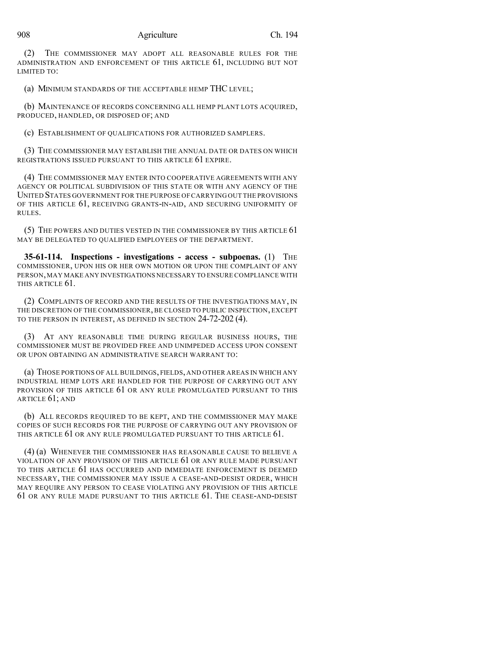(2) THE COMMISSIONER MAY ADOPT ALL REASONABLE RULES FOR THE ADMINISTRATION AND ENFORCEMENT OF THIS ARTICLE 61, INCLUDING BUT NOT LIMITED TO:

(a) MINIMUM STANDARDS OF THE ACCEPTABLE HEMP THC LEVEL;

(b) MAINTENANCE OF RECORDS CONCERNING ALL HEMP PLANT LOTS ACQUIRED, PRODUCED, HANDLED, OR DISPOSED OF; AND

(c) ESTABLISHMENT OF QUALIFICATIONS FOR AUTHORIZED SAMPLERS.

(3) THE COMMISSIONER MAY ESTABLISH THE ANNUAL DATE OR DATES ON WHICH REGISTRATIONS ISSUED PURSUANT TO THIS ARTICLE 61 EXPIRE.

(4) THE COMMISSIONER MAY ENTER INTO COOPERATIVE AGREEMENTS WITH ANY AGENCY OR POLITICAL SUBDIVISION OF THIS STATE OR WITH ANY AGENCY OF THE UNITED STATES GOVERNMENT FOR THE PURPOSE OF CARRYING OUT THE PROVISIONS OF THIS ARTICLE 61, RECEIVING GRANTS-IN-AID, AND SECURING UNIFORMITY OF RULES.

(5) THE POWERS AND DUTIES VESTED IN THE COMMISSIONER BY THIS ARTICLE 61 MAY BE DELEGATED TO QUALIFIED EMPLOYEES OF THE DEPARTMENT.

**35-61-114. Inspections - investigations - access - subpoenas.** (1) THE COMMISSIONER, UPON HIS OR HER OWN MOTION OR UPON THE COMPLAINT OF ANY PERSON,MAY MAKE ANY INVESTIGATIONS NECESSARY TO ENSURE COMPLIANCE WITH THIS ARTICLE 61.

(2) COMPLAINTS OF RECORD AND THE RESULTS OF THE INVESTIGATIONS MAY, IN THE DISCRETION OF THE COMMISSIONER, BE CLOSED TO PUBLIC INSPECTION, EXCEPT TO THE PERSON IN INTEREST, AS DEFINED IN SECTION 24-72-202 (4).

(3) AT ANY REASONABLE TIME DURING REGULAR BUSINESS HOURS, THE COMMISSIONER MUST BE PROVIDED FREE AND UNIMPEDED ACCESS UPON CONSENT OR UPON OBTAINING AN ADMINISTRATIVE SEARCH WARRANT TO:

(a) THOSE PORTIONS OF ALL BUILDINGS, FIELDS, AND OTHER AREAS IN WHICH ANY INDUSTRIAL HEMP LOTS ARE HANDLED FOR THE PURPOSE OF CARRYING OUT ANY PROVISION OF THIS ARTICLE 61 OR ANY RULE PROMULGATED PURSUANT TO THIS ARTICLE 61; AND

(b) ALL RECORDS REQUIRED TO BE KEPT, AND THE COMMISSIONER MAY MAKE COPIES OF SUCH RECORDS FOR THE PURPOSE OF CARRYING OUT ANY PROVISION OF THIS ARTICLE 61 OR ANY RULE PROMULGATED PURSUANT TO THIS ARTICLE 61.

(4) (a) WHENEVER THE COMMISSIONER HAS REASONABLE CAUSE TO BELIEVE A VIOLATION OF ANY PROVISION OF THIS ARTICLE 61 OR ANY RULE MADE PURSUANT TO THIS ARTICLE 61 HAS OCCURRED AND IMMEDIATE ENFORCEMENT IS DEEMED NECESSARY, THE COMMISSIONER MAY ISSUE A CEASE-AND-DESIST ORDER, WHICH MAY REQUIRE ANY PERSON TO CEASE VIOLATING ANY PROVISION OF THIS ARTICLE 61 OR ANY RULE MADE PURSUANT TO THIS ARTICLE 61. THE CEASE-AND-DESIST